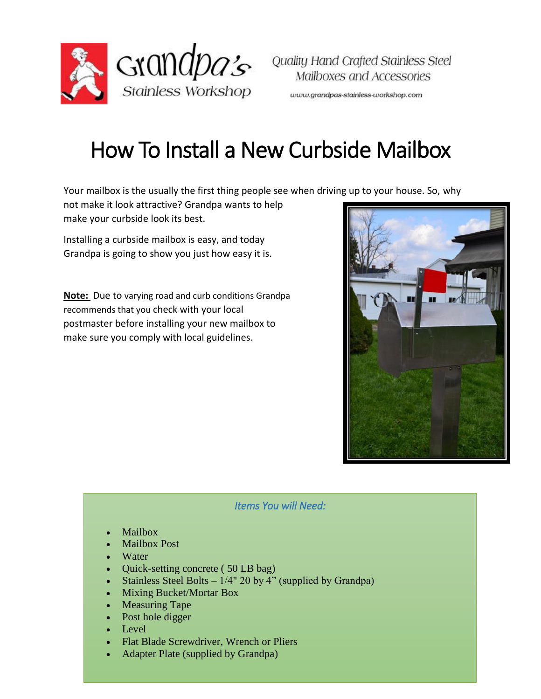

www.grandpas-stainless-workshop.com

## How To Install a New Curbside Mailbox

Your mailbox is the usually the first thing people see when driving up to your house. So, why

not make it look attractive? Grandpa wants to help make your curbside look its best.

Installing a curbside mailbox is easy, and today Grandpa is going to show you just how easy it is.

**Note:** Due to varying road and curb conditions Grandpa recommends that you check with your local postmaster before installing your new mailbox to make sure you comply with local guidelines.



*Items You will Need:* 

- Mailbox
- Mailbox Post
- **Water**
- Quick-setting concrete (50 LB bag)
- Stainless Steel Bolts  $-1/4$ " 20 by 4" (supplied by Grandpa)
- Mixing Bucket/Mortar Box
- Measuring Tape
- Post hole digger
- $\bullet$  Level
- Flat Blade Screwdriver, Wrench or Pliers
- Adapter Plate (supplied by Grandpa)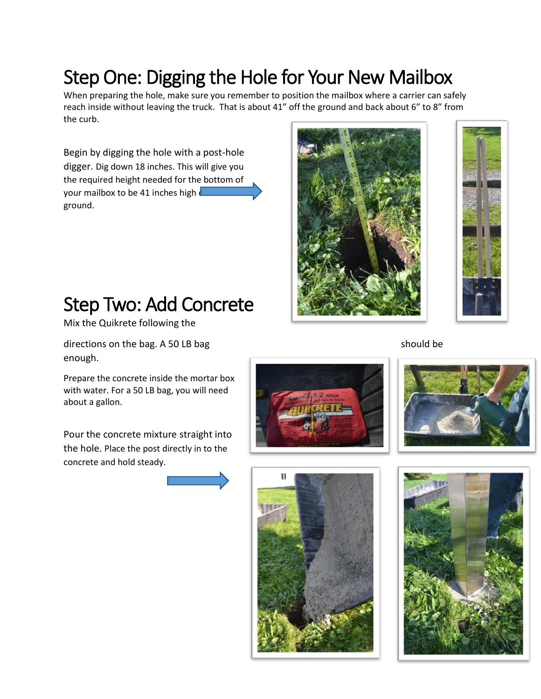#### Step One: Digging the Hole for Your New Mailbox

When preparing the hole, make sure you remember to position the mailbox where a carrier can safely reach inside without leaving the truck. That is about 41" off the ground and back about 6" to 8" from the curb.

Begin by digging the hole with a post-hole digger. Dig down 18 inches. This will give you the required height needed for the bottom of your mailbox to be 41 inches high  $\sqrt{\frac{1}{n}}$ ground.





#### Step Two: Add Concrete

Mix the Quikrete following the

directions on the bag. A 50 LB bag should be should be should be should be should be should be should be should be should be should be should be should be should be should be should be should be should be should be should enough.

Prepare the concrete inside the mortar box with water. For a 50 LB bag, you will need about a gallon.

Pour the concrete mixture straight into the hole. Place the post directly in to the concrete and hold steady.







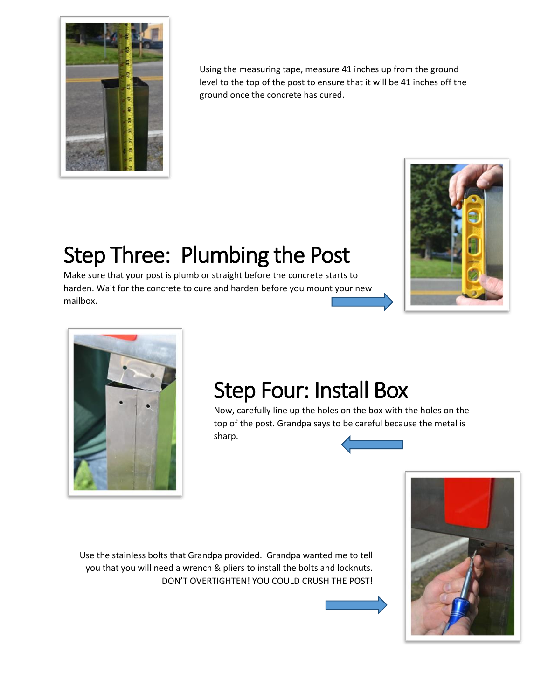

Using the measuring tape, measure 41 inches up from the ground level to the top of the post to ensure that it will be 41 inches off the ground once the concrete has cured.

## Step Three: Plumbing the Post

Make sure that your post is plumb or straight before the concrete starts to harden. Wait for the concrete to cure and harden before you mount your new mailbox.





# Step Four: Install Box

Now, carefully line up the holes on the box with the holes on the top of the post. Grandpa says to be careful because the metal is sharp.